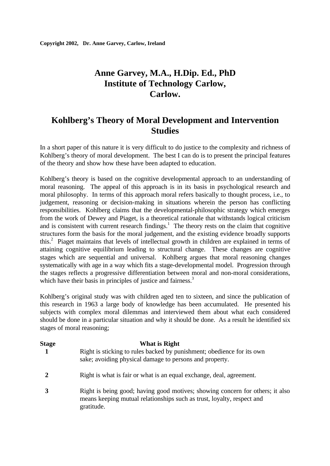# **Anne Garvey, M.A., H.Dip. Ed., PhD Institute of Technology Carlow, Carlow.**

## **Kohlberg's Theory of Moral Development and Intervention Studies**

In a short paper of this nature it is very difficult to do justice to the complexity and richness of Kohlberg's theory of moral development. The best I can do is to present the principal features of the theory and show how these have been adapted to education.

Kohlberg's theory is based on the cognitive developmental approach to an understanding of moral reasoning. The appeal of this approach is in its basis in psychological research and moral philosophy. In terms of this approach moral refers basically to thought process, i.e., to judgement, reasoning or decision-making in situations wherein the person has conflicting responsibilities. Kohlberg claims that the developmental-philosophic strategy which emerges from the work of Dewey and Piaget, is a theoretical rationale that withstands logical criticism and is consistent with current research findings.<sup>1</sup> The theory rests on the claim that cognitive structures form the basis for the moral judgement, and the existing evidence broadly supports this.<sup>2</sup> Piaget maintains that levels of intellectual growth in children are explained in terms of attaining cognitive equilibrium leading to structural change. These changes are cognitive stages which are sequential and universal. Kohlberg argues that moral reasoning changes systematically with age in a way which fits a stage-developmental model. Progression through the stages reflects a progressive differentiation between moral and non-moral considerations, which have their basis in principles of justice and fairness.<sup>3</sup>

Kohlberg's original study was with children aged ten to sixteen, and since the publication of this research in 1963 a large body of knowledge has been accumulated. He presented his subjects with complex moral dilemmas and interviewed them about what each considered should be done in a particular situation and why it should be done. As a result he identified six stages of moral reasoning;

| <b>Stage</b> | What is Right                                                                                                                     |
|--------------|-----------------------------------------------------------------------------------------------------------------------------------|
|              | Right is sticking to rules backed by punishment; obedience for its own<br>sake; avoiding physical damage to persons and property. |
|              | Right is what is fair or what is an equal exchange, deal, agreement.                                                              |
|              | Right is being good; having good motives; showing concern for others; it also                                                     |

means keeping mutual relationships such as trust, loyalty, respect and gratitude.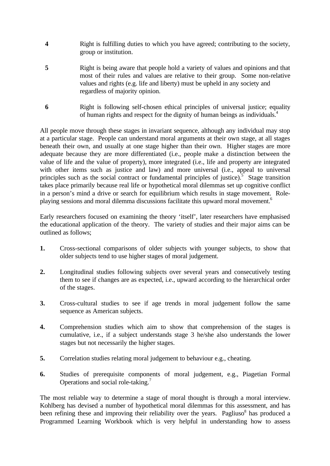- **4** Right is fulfilling duties to which you have agreed; contributing to the society, group or institution.
- **5** Right is being aware that people hold a variety of values and opinions and that most of their rules and values are relative to their group. Some non-relative values and rights (e.g. life and liberty) must be upheld in any society and regardless of majority opinion.
- **6** Right is following self-chosen ethical principles of universal justice; equality of human rights and respect for the dignity of human beings as individuals.<sup>4</sup>

All people move through these stages in invariant sequence, although any individual may stop at a particular stage. People can understand moral arguments at their own stage, at all stages beneath their own, and usually at one stage higher than their own. Higher stages are more adequate because they are more differentiated (i.e., people make a distinction between the value of life and the value of property), more integrated (i.e., life and property are integrated with other items such as justice and law) and more universal (i.e., appeal to universal principles such as the social contract or fundamental principles of justice).<sup>5</sup> Stage transition takes place primarily because real life or hypothetical moral dilemmas set up cognitive conflict in a person's mind a drive or search for equilibrium which results in stage movement. Roleplaying sessions and moral dilemma discussions facilitate this upward moral movement.<sup>6</sup>

Early researchers focused on examining the theory 'itself', later researchers have emphasised the educational application of the theory. The variety of studies and their major aims can be outlined as follows;

- **1.** Cross-sectional comparisons of older subjects with younger subjects, to show that older subjects tend to use higher stages of moral judgement.
- **2.** Longitudinal studies following subjects over several years and consecutively testing them to see if changes are as expected, i.e., upward according to the hierarchical order of the stages.
- **3.** Cross-cultural studies to see if age trends in moral judgement follow the same sequence as American subjects.
- **4.** Comprehension studies which aim to show that comprehension of the stages is cumulative, i.e., if a subject understands stage 3 he/she also understands the lower stages but not necessarily the higher stages.
- **5.** Correlation studies relating moral judgement to behaviour e.g., cheating.
- **6.** Studies of prerequisite components of moral judgement, e.g., Piagetian Formal Operations and social role-taking.<sup>7</sup>

The most reliable way to determine a stage of moral thought is through a moral interview. Kohlberg has devised a number of hypothetical moral dilemmas for this assessment, and has been refining these and improving their reliability over the years. Pagliuso<sup>8</sup> has produced a Programmed Learning Workbook which is very helpful in understanding how to assess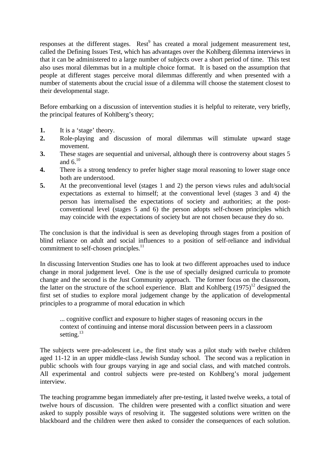responses at the different stages. Rest<sup>9</sup> has created a moral judgement measurement test, called the Defining Issues Test, which has advantages over the Kohlberg dilemma interviews in that it can be administered to a large number of subjects over a short period of time. This test also uses moral dilemmas but in a multiple choice format. It is based on the assumption that people at different stages perceive moral dilemmas differently and when presented with a number of statements about the crucial issue of a dilemma will choose the statement closest to their developmental stage.

Before embarking on a discussion of intervention studies it is helpful to reiterate, very briefly, the principal features of Kohlberg's theory;

- **1.** It is a 'stage' theory.
- **2.** Role-playing and discussion of moral dilemmas will stimulate upward stage movement.
- **3.** These stages are sequential and universal, although there is controversy about stages 5 and  $6^{10}$
- **4.** There is a strong tendency to prefer higher stage moral reasoning to lower stage once both are understood.
- **5.** At the preconventional level (stages 1 and 2) the person views rules and adult/social expectations as external to himself; at the conventional level (stages 3 and 4) the person has internalised the expectations of society and authorities; at the postconventional level (stages 5 and 6) the person adopts self-chosen principles which may coincide with the expectations of society but are not chosen because they do so.

The conclusion is that the individual is seen as developing through stages from a position of blind reliance on adult and social influences to a position of self-reliance and individual commitment to self-chosen principles.<sup>11</sup>

In discussing Intervention Studies one has to look at two different approaches used to induce change in moral judgement level. One is the use of specially designed curricula to promote change and the second is the Just Community approach. The former focus on the classroom, the latter on the structure of the school experience. Blatt and Kohlberg  $(1975)^{12}$  designed the first set of studies to explore moral judgement change by the application of developmental principles to a programme of moral education in which

... cognitive conflict and exposure to higher stages of reasoning occurs in the context of continuing and intense moral discussion between peers in a classroom setting. $^{13}$ 

The subjects were pre-adolescent i.e., the first study was a pilot study with twelve children aged 11-12 in an upper middle-class Jewish Sunday school. The second was a replication in public schools with four groups varying in age and social class, and with matched controls. All experimental and control subjects were pre-tested on Kohlberg's moral judgement interview.

The teaching programme began immediately after pre-testing, it lasted twelve weeks, a total of twelve hours of discussion. The children were presented with a conflict situation and were asked to supply possible ways of resolving it. The suggested solutions were written on the blackboard and the children were then asked to consider the consequences of each solution.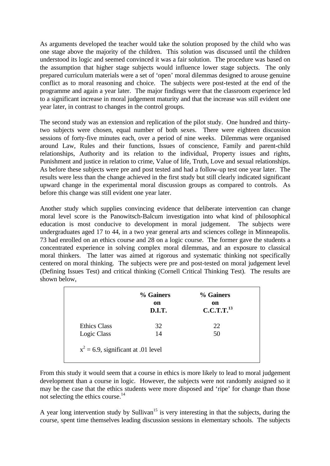As arguments developed the teacher would take the solution proposed by the child who was one stage above the majority of the children. This solution was discussed until the children understood its logic and seemed convinced it was a fair solution. The procedure was based on the assumption that higher stage subjects would influence lower stage subjects. The only prepared curriculum materials were a set of 'open' moral dilemmas designed to arouse genuine conflict as to moral reasoning and choice. The subjects were post-tested at the end of the programme and again a year later. The major findings were that the classroom experience led to a significant increase in moral judgement maturity and that the increase was still evident one year later, in contrast to changes in the control groups.

The second study was an extension and replication of the pilot study. One hundred and thirtytwo subjects were chosen, equal number of both sexes. There were eighteen discussion sessions of forty-five minutes each, over a period of nine weeks. Dilemmas were organised around Law, Rules and their functions, Issues of conscience, Family and parent-child relationships, Authority and its relation to the individual, Property issues and rights, Punishment and justice in relation to crime, Value of life, Truth, Love and sexual relationships. As before these subjects were pre and post tested and had a follow-up test one year later. The results were less than the change achieved in the first study but still clearly indicated significant upward change in the experimental moral discussion groups as compared to controls. As before this change was still evident one year later.

Another study which supplies convincing evidence that deliberate intervention can change moral level score is the Panowitsch-Balcum investigation into what kind of philosophical education is most conducive to development in moral judgement. The subjects were undergraduates aged 17 to 44, in a two year general arts and sciences college in Minneapolis. 73 had enrolled on an ethics course and 28 on a logic course. The former gave the students a concentrated experience in solving complex moral dilemmas, and an exposure to classical moral thinkers. The latter was aimed at rigorous and systematic thinking not specifically centered on moral thinking. The subjects were pre and post-tested on moral judgement level (Defining Issues Test) and critical thinking (Cornell Critical Thinking Test). The results are shown below,

|              | % Gainers<br>on<br>D.I.T. | % Gainers<br>on<br>C.C.T.T. <sup>13</sup> |
|--------------|---------------------------|-------------------------------------------|
| Ethics Class | 32                        | 22                                        |
| Logic Class  | 14                        | 50                                        |

From this study it would seem that a course in ethics is more likely to lead to moral judgement development than a course in logic. However, the subjects were not randomly assigned so it may be the case that the ethics students were more disposed and 'ripe' for change than those not selecting the ethics course.<sup>14</sup>

A year long intervention study by Sullivan<sup>15</sup> is very interesting in that the subjects, during the course, spent time themselves leading discussion sessions in elementary schools. The subjects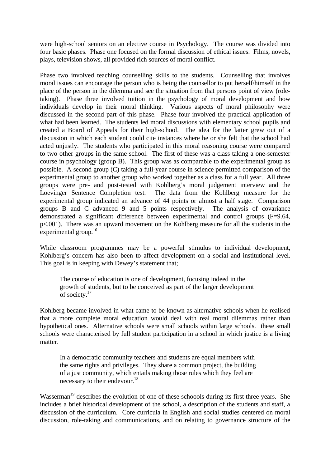were high-school seniors on an elective course in Psychology. The course was divided into four basic phases. Phase one focused on the formal discussion of ethical issues. Films, novels, plays, television shows, all provided rich sources of moral conflict.

Phase two involved teaching counselling skills to the students. Counselling that involves moral issues can encourage the person who is being the counsellor to put herself/himself in the place of the person in the dilemma and see the situation from that persons point of view (roletaking). Phase three involved tuition in the psychology of moral development and how individuals develop in their moral thinking. Various aspects of moral philosophy were discussed in the second part of this phase. Phase four involved the practical application of what had been learned. The students led moral discussions with elementary school pupils and created a Board of Appeals for their high-school. The idea for the latter grew out of a discussion in which each student could cite instances where he or she felt that the school had acted unjustly. The students who participated in this moral reasoning course were compared to two other groups in the same school. The first of these was a class taking a one-semester course in psychology (group B). This group was as comparable to the experimental group as possible. A second group (C) taking a full-year course in science permitted comparison of the experimental group to another group who worked together as a class for a full year. All three groups were pre- and post-tested with Kohlberg's moral judgement interview and the Loevinger Sentence Completion test. The data from the Kohlberg measure for the experimental group indicated an advance of 44 points or almost a half stage. Comparison groups B and C advanced 9 and 5 points respectively. The analysis of covariance demonstrated a significant difference between experimental and control groups (F=9.64, p<.001). There was an upward movement on the Kohlberg measure for all the students in the experimental group. $16$ 

While classroom programmes may be a powerful stimulus to individual development, Kohlberg's concern has also been to affect development on a social and institutional level. This goal is in keeping with Dewey's statement that;

The course of education is one of development, focusing indeed in the growth of students, but to be conceived as part of the larger development of society.<sup>17</sup>

Kohlberg became involved in what came to be known as alternative schools when he realised that a more complete moral education would deal with real moral dilemmas rather than hypothetical ones. Alternative schools were small schools within large schools. these small schools were characterised by full student participation in a school in which justice is a living matter.

In a democratic community teachers and students are equal members with the same rights and privileges. They share a common project, the building of a just community, which entails making those rules which they feel are necessary to their endevour. $18$ 

Wasserman<sup>19</sup> describes the evolution of one of these schoools during its first three years. She includes a brief historical development of the school, a description of the students and staff, a discussion of the curriculum. Core curricula in English and social studies centered on moral discussion, role-taking and communications, and on relating to governance structure of the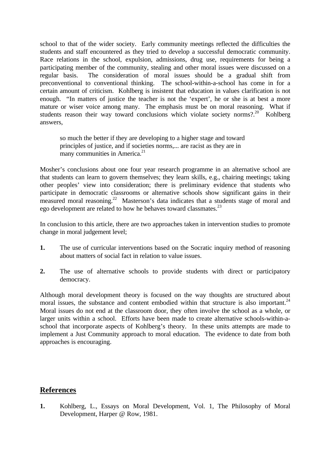school to that of the wider society. Early community meetings reflected the difficulties the students and staff encountered as they tried to develop a successful democratic community. Race relations in the school, expulsion, admissions, drug use, requirements for being a participating member of the community, stealing and other moral issues were discussed on a regular basis. The consideration of moral issues should be a gradual shift from preconventional to conventional thinking. The school-within-a-school has come in for a certain amount of criticism. Kohlberg is insistent that education in values clarification is not enough. "In matters of justice the teacher is not the 'expert', he or she is at best a more mature or wiser voice among many. The emphasis must be on moral reasoning. What if students reason their way toward conclusions which violate society norms?.<sup>20</sup> Kohlberg answers,

so much the better if they are developing to a higher stage and toward principles of justice, and if societies norms,... are racist as they are in many communities in America.<sup>21</sup>

Mosher's conclusions about one four year research programme in an alternative school are that students can learn to govern themselves; they learn skills, e.g., chairing meetings; taking other peoples' view into consideration; there is preliminary evidence that students who participate in democratic classrooms or alternative schools show significant gains in their measured moral reasoning.<sup>22</sup> Masterson's data indicates that a students stage of moral and ego development are related to how he behaves toward classmates.<sup>23</sup>

In conclusion to this article, there are two approaches taken in intervention studies to promote change in moral judgement level;

- **1.** The use of curricular interventions based on the Socratic inquiry method of reasoning about matters of social fact in relation to value issues.
- **2.** The use of alternative schools to provide students with direct or participatory democracy.

Although moral development theory is focused on the way thoughts are structured about moral issues, the substance and content embodied within that structure is also important. $24$ Moral issues do not end at the classroom door, they often involve the school as a whole, or larger units within a school. Efforts have been made to create alternative schools-within-aschool that incorporate aspects of Kohlberg's theory. In these units attempts are made to implement a Just Community approach to moral education. The evidence to date from both approaches is encouraging.

### **References**

**1.** Kohlberg, L., Essays on Moral Development, Vol. 1, The Philosophy of Moral Development, Harper @ Row, 1981.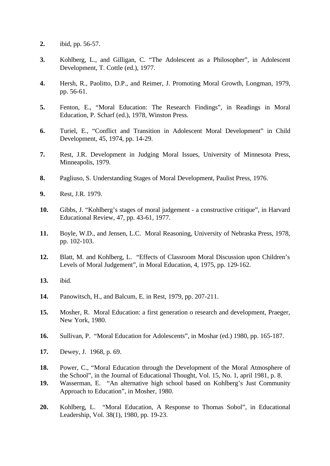- **2.** ibid, pp. 56-57.
- **3.** Kohlberg, L., and Gilligan, C. "The Adolescent as a Philosopher", in Adolescent Development, T. Cottle (ed.), 1977.
- **4.** Hersh, R., Paolitto, D.P., and Reimer, J. Promoting Moral Growth, Longman, 1979, pp. 56-61.
- **5.** Fenton, E., "Moral Education: The Research Findings", in Readings in Moral Education, P. Scharf (ed.), 1978, Winston Press.
- **6.** Turiel, E., "Conflict and Transition in Adolescent Moral Development" in Child Development, 45, 1974, pp. 14-29.
- **7.** Rest, J.R. Development in Judging Moral Issues, University of Minnesota Press, Minneapolis, 1979.
- **8.** Pagliuso, S. Understanding Stages of Moral Development, Paulist Press, 1976.
- **9.** Rest, J.R. 1979.
- **10.** Gibbs, J. "Kohlberg's stages of moral judgement a constructive critique", in Harvard Educational Review, 47, pp. 43-61, 1977.
- **11.** Boyle, W.D., and Jensen, L.C. Moral Reasoning, University of Nebraska Press, 1978, pp. 102-103.
- **12.** Blatt, M. and Kohlberg, L. "Effects of Classroom Moral Discussion upon Children's Levels of Moral Judgement", in Moral Education, 4, 1975, pp. 129-162.
- **13.** ibid.
- **14.** Panowitsch, H., and Balcum, E. in Rest, 1979, pp. 207-211.
- **15.** Mosher, R. Moral Education: a first generation o research and development, Praeger, New York, 1980.
- **16.** Sullivan, P. "Moral Education for Adolescents", in Moshar (ed.) 1980, pp. 165-187.
- **17.** Dewey, J. 1968, p. 69.
- **18.** Power, C., "Moral Education through the Development of the Moral Atmosphere of the School", in the Journal of Educational Thought, Vol. 15, No. 1, april 1981, p. 8.
- **19.** Wasserman, E. "An alternative high school based on Kohlberg's Just Community Approach to Education", in Mosher, 1980.
- **20.** Kohlberg, L. "Moral Education, A Response to Thomas Sobol", in Educational Leadership, Vol. 38(1), 1980, pp. 19-23.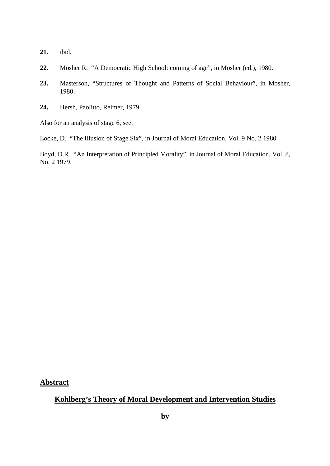- **21.** ibid.
- **22.** Mosher R. "A Democratic High School: coming of age", in Mosher (ed.), 1980.
- **23.** Masterson, "Structures of Thought and Patterns of Social Behaviour", in Mosher, 1980.
- **24.** Hersh, Paolitto, Reimer, 1979.

Also for an analysis of stage 6, see:

Locke, D. "The Illusion of Stage Six", in Journal of Moral Education, Vol. 9 No. 2 1980.

Boyd, D.R. "An Interpretation of Principled Morality", in Journal of Moral Education, Vol. 8, No. 2 1979.

**Abstract**

### **Kohlberg's Theory of Moral Development and Intervention Studies**